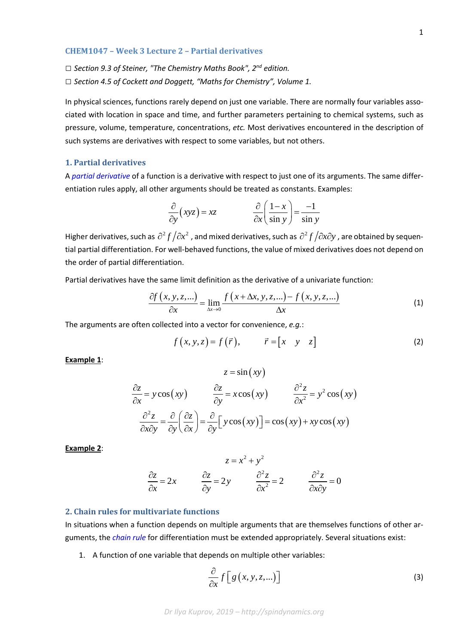### **CHEM1047 – Week 3 Lecture 2 – Partial derivatives**

*□ Section 9.3 of Steiner, "The Chemistry Maths Book", 2nd edition.*

*□ Section 4.5 of Cockett and Doggett, "Maths for Chemistry", Volume 1.*

In physical sciences, functions rarely depend on just one variable. There are normally four variables associated with location in space and time, and further parameters pertaining to chemical systems, such as pressure, volume, temperature, concentrations, *etc.* Most derivatives encountered in the description of such systems are derivatives with respect to some variables, but not others.

# **1. Partial derivatives**

A *[partial derivative](https://en.wikipedia.org/wiki/Partial_derivative)* of a function is a derivative with respect to just one of its arguments. The same differentiation rules apply, all other arguments should be treated as constants. Examples:

$$
\frac{\partial}{\partial y}(xyz) = xz \qquad \qquad \frac{\partial}{\partial x}\left(\frac{1-x}{\sin y}\right) = \frac{-1}{\sin y}
$$

Higher derivatives, such as  $\partial^2 f / \partial x^2$ , and mixed derivatives, such as  $\partial^2 f / \partial x \partial y$ , are obtained by sequential partial differentiation. For well-behaved functions, the value of mixed derivatives does not depend on the order of partial differentiation.

Partial derivatives have the same limit definition as the derivative of a univariate function:

$$
\frac{\partial f(x, y, z, \ldots)}{\partial x} = \lim_{\Delta x \to 0} \frac{f(x + \Delta x, y, z, \ldots) - f(x, y, z, \ldots)}{\Delta x}
$$
(1)

The arguments are often collected into a vector for convenience, *e.g.*:

$$
f(x, y, z) = f(\vec{r}), \qquad \vec{r} = \begin{bmatrix} x & y & z \end{bmatrix}
$$
 (2)

**Example 1**:

$$
z = \sin(xy)
$$
  
\n
$$
\frac{\partial z}{\partial x} = y \cos(xy) \qquad \frac{\partial z}{\partial y} = x \cos(xy) \qquad \frac{\partial^2 z}{\partial x^2} = y^2 \cos(xy)
$$
  
\n
$$
\frac{\partial^2 z}{\partial x \partial y} = \frac{\partial}{\partial y} \left( \frac{\partial z}{\partial x} \right) = \frac{\partial}{\partial y} \left[ y \cos(xy) \right] = \cos(xy) + xy \cos(xy)
$$

**Example 2**:

$$
z = x^{2} + y^{2}
$$

$$
\frac{\partial z}{\partial x} = 2x \qquad \frac{\partial z}{\partial y} = 2y \qquad \frac{\partial^{2} z}{\partial x^{2}} = 2 \qquad \frac{\partial^{2} z}{\partial x \partial y} = 0
$$

## **2. Chain rules for multivariate functions**

In situations when a function depends on multiple arguments that are themselves functions of other arguments, the *[chain rule](https://en.wikipedia.org/wiki/Chain_rule#Multivariable_case)* for differentiation must be extended appropriately. Several situations exist:

1. A function of one variable that depends on multiple other variables:

$$
\frac{\partial}{\partial x} f\Big[ g(x, y, z, \ldots) \Big] \tag{3}
$$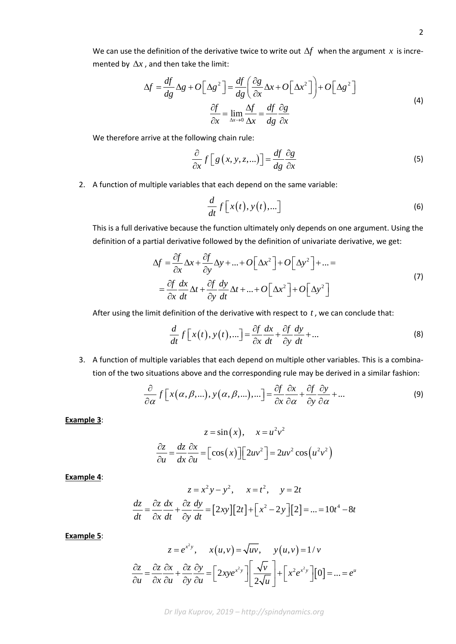We can use the definition of the derivative twice to write out ∆*f* when the argument *x* is incremented by  $\Delta x$ , and then take the limit:

$$
\Delta f = \frac{df}{dg} \Delta g + O\left[\Delta g^2\right] = \frac{df}{dg} \left(\frac{\partial g}{\partial x} \Delta x + O\left[\Delta x^2\right]\right) + O\left[\Delta g^2\right]
$$
  

$$
\frac{\partial f}{\partial x} = \lim_{\Delta x \to 0} \frac{\Delta f}{\Delta x} = \frac{df}{dg} \frac{\partial g}{\partial x}
$$
 (4)

We therefore arrive at the following chain rule:

$$
\frac{\partial}{\partial x} f\left[g\left(x, y, z, \ldots\right)\right] = \frac{df}{dg} \frac{\partial g}{\partial x}
$$
\n(5)

2. A function of multiple variables that each depend on the same variable:

$$
\frac{d}{dt}f\left[x(t),y(t),...\right]
$$
\n(6)

This is a full derivative because the function ultimately only depends on one argument. Using the definition of a partial derivative followed by the definition of univariate derivative, we get:

$$
\Delta f = \frac{\partial f}{\partial x} \Delta x + \frac{\partial f}{\partial y} \Delta y + \dots + O\left[\Delta x^2\right] + O\left[\Delta y^2\right] + \dots =
$$
\n
$$
= \frac{\partial f}{\partial x} \frac{dx}{dt} \Delta t + \frac{\partial f}{\partial y} \frac{dy}{dt} \Delta t + \dots + O\left[\Delta x^2\right] + O\left[\Delta y^2\right]
$$
\n(7)

After using the limit definition of the derivative with respect to *t* , we can conclude that:

$$
\frac{d}{dt}f[x(t),y(t),\ldots] = \frac{\partial f}{\partial x}\frac{dx}{dt} + \frac{\partial f}{\partial y}\frac{dy}{dt} + \ldots
$$
\n(8)

3. A function of multiple variables that each depend on multiple other variables. This is a combination of the two situations above and the corresponding rule may be derived in a similar fashion:

$$
\frac{\partial}{\partial \alpha} f[x(\alpha, \beta, \ldots), y(\alpha, \beta, \ldots), \ldots] = \frac{\partial f}{\partial x} \frac{\partial x}{\partial \alpha} + \frac{\partial f}{\partial y} \frac{\partial y}{\partial \alpha} + \ldots
$$
\n(9)

**Example 3**:

$$
z = \sin(x), \quad x = u^2 v^2
$$

$$
\frac{\partial z}{\partial u} = \frac{dz}{dx} \frac{\partial x}{\partial u} = \left[\cos(x)\right] \left[2uv^2\right] = 2uv^2 \cos(u^2 v^2)
$$

**Example 4**:

$$
z = x^2y - y^2, \quad x = t^2, \quad y = 2t
$$
  

$$
\frac{dz}{dt} = \frac{\partial z}{\partial x}\frac{dx}{dt} + \frac{\partial z}{\partial y}\frac{dy}{dt} = [2xy][2t] + [x^2 - 2y][2] = ... = 10t^4 - 8t
$$

**Example 5**:

$$
z = e^{x^2 y}, \quad x(u, v) = \sqrt{uv}, \quad y(u, v) = 1/v
$$

$$
\frac{\partial z}{\partial u} = \frac{\partial z}{\partial x} \frac{\partial x}{\partial u} + \frac{\partial z}{\partial y} \frac{\partial y}{\partial u} = \left[2xy e^{x^2 y}\right] \left[\frac{\sqrt{v}}{2\sqrt{u}}\right] + \left[x^2 e^{x^2 y}\right] \left[0\right] = \dots = e^u
$$